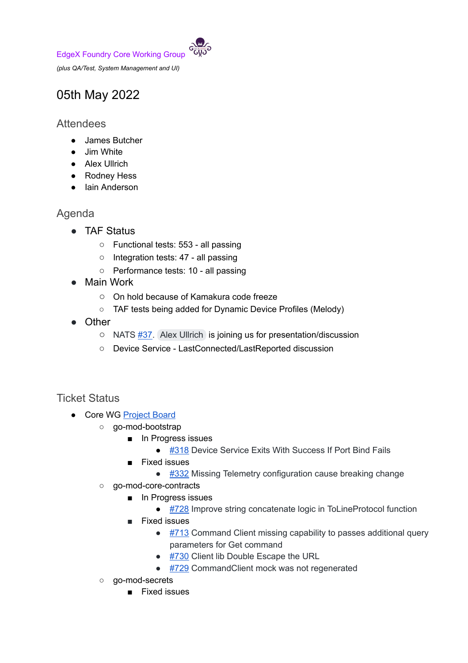EdgeX Foundry Core Working Group

*(plus QA/Test, System Management and UI)*

## 05th May 2022

## **Attendees**

- James Butcher
- Jim White
- Alex Ullrich
- Rodney Hess
- Iain Anderson

## Agenda

- TAF Status
	- Functional tests: 553 all passing
	- Integration tests: 47 all passing
	- Performance tests: 10 all passing
- Main Work
	- On hold because of Kamakura code freeze
	- TAF tests being added for Dynamic Device Profiles (Melody)
- Other
	- NATS [#37.](https://github.com/edgexfoundry/go-mod-messaging/issue#37) Alex [Ullrich](mailto:alex.ullrich@gmail.com) is joining us for presentation/discussion
	- Device Service LastConnected/LastReported discussion

## Ticket Status

- Core WG [Project](https://github.com/orgs/edgexfoundry/projects/25) Board
	- go-mod-bootstrap
		- In Progress issues
			- [#318](https://github.com/edgexfoundry/go-mod-bootstrap/issues/318) Device Service Exits With Success If Port Bind Fails
		- Fixed issues
			- [#332](https://github.com/edgexfoundry/go-mod-bootstrap/issues/332) Missing Telemetry configuration cause breaking change
		- go-mod-core-contracts
			- In Progress issues
			- [#728](https://github.com/edgexfoundry/go-mod-core-contracts/issues/728) Improve string concatenate logic in ToLineProtocol function
			- Fixed issues
				- $\bullet$  [#713](https://github.com/edgexfoundry/go-mod-core-contracts/issues/713) Command Client missing capability to passes additional query parameters for Get command
				- [#730](https://github.com/edgexfoundry/go-mod-core-contracts/issues/730) Client lib Double Escape the URL
				- [#729](https://github.com/edgexfoundry/go-mod-core-contracts/issues/729) CommandClient mock was not regenerated
		- go-mod-secrets
			- Fixed issues